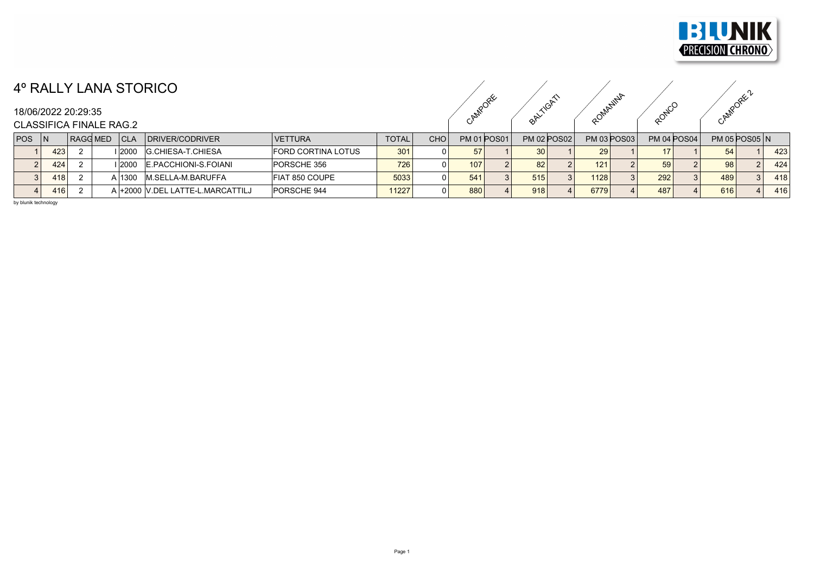

## 4º RALLY LANA STORICO

CAMPORE PALTICATION ROMANINA ROYCO

## CLASSIFICA FINALE RAG.2

18/06/2022 20:29:35

|  | POS <sup>1</sup> | $\overline{N}$ | <b>RAGG MED</b> |  | <b>CLA</b> | DRIVER/CODRIVER                    | <b>TOTAL</b><br>CHO <sup>1</sup><br><b>PM 01 POS01</b><br><b>VETTURA</b> |       | <b>PM 02 POS02</b> |     | <b>PM 03 POS03</b> |                 | <b>PM 04 POS04</b> |                   | PM 05 POS05 $\mid$ N |     |  |     |  |     |
|--|------------------|----------------|-----------------|--|------------|------------------------------------|--------------------------------------------------------------------------|-------|--------------------|-----|--------------------|-----------------|--------------------|-------------------|----------------------|-----|--|-----|--|-----|
|  |                  | 423            |                 |  | 12000      | <b>G.CHIESA-T.CHIESA</b>           | <b>FORD CORTINA LOTUS</b>                                                | 301   |                    | 57  |                    | 30 <sup>1</sup> |                    | 29                |                      |     |  | 54  |  | 423 |
|  |                  | 424            |                 |  | 12000      | E.PACCHIONI-S.FOIANI               | <b>PORSCHE 356</b>                                                       | 726   |                    | 107 |                    | 82              |                    | 121               |                      | 59  |  | 98  |  | 424 |
|  |                  | 418            |                 |  | A   1300   | IM SELLA-M BARUFFA                 | <b>FIAT 850 COUPE</b>                                                    | 5033  |                    | 541 |                    | 515             |                    | 1128 <sub>1</sub> |                      | 292 |  | 489 |  | 418 |
|  |                  | 416            |                 |  |            | A  +2000  V.DEL LATTE-L.MARCATTILJ | <b>PORSCHE 944</b>                                                       | 11227 |                    | 880 |                    | 918             |                    | 6779              |                      | 487 |  | 616 |  | 416 |

by blunik technology